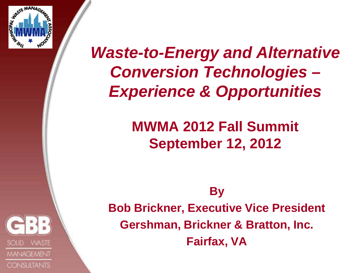

## *Waste-to-Energy and Alternative Conversion Technologies – Experience & Opportunities*

## **MWMA 2012 Fall Summit September 12, 2012**

**By** 

**WASTE MANAGEMENT CONSULTANTS**  **Bob Brickner, Executive Vice President Gershman, Brickner & Bratton, Inc. Fairfax, VA**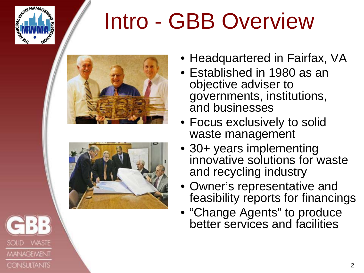

**MANAGEMENT** 

**CONSULTANTS** 

## Intro - GBB Overview





- Headquartered in Fairfax, VA
- Established in 1980 as an objective adviser to governments, institutions, and businesses
- Focus exclusively to solid waste management
- 30+ years implementing innovative solutions for waste and recycling industry
- Owner's representative and feasibility reports for financings
- "Change Agents" to produce better services and facilities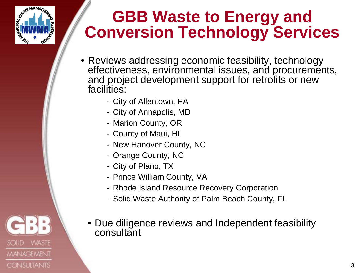

**MANAGEMENT** 

**CONSULTANTS** 

**SOLID** 

## **GBB Waste to Energy and Conversion Technology Services**

- Reviews addressing economic feasibility, technology effectiveness, environmental issues, and procurements, and project development support for retrofits or new facilities:
	- City of Allentown, PA
	- City of Annapolis, MD
	- Marion County, OR
	- County of Maui, HI
	- New Hanover County, NC
	- Orange County, NC
	- City of Plano, TX
	- Prince William County, VA
	- Rhode Island Resource Recovery Corporation
	- Solid Waste Authority of Palm Beach County, FL
	- Due diligence reviews and Independent feasibility consultant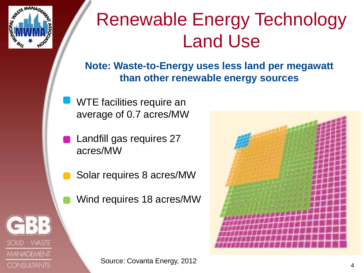

**MANAGEMENT** 

**CONSULTANTS** 

## Renewable Energy Technology Land Use

**Note: Waste-to-Energy uses less land per megawatt than other renewable energy sources**

- WTE facilities require an average of 0.7 acres/MW
- Landfill gas requires 27 acres/MW
- Solar requires 8 acres/MW
- Wind requires 18 acres/MW

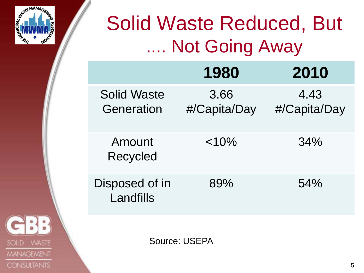

**VVASTE** 

**MANAGEMENT** 

**CONSULTANTS** 

**SOLID** 

## Solid Waste Reduced, But **Not Going Away**

|                                  | 1980                 | 2010                 |
|----------------------------------|----------------------|----------------------|
| <b>Solid Waste</b><br>Generation | 3.66<br>#/Capita/Day | 4.43<br>#/Capita/Day |
| Amount<br><b>Recycled</b>        | < 10%                | 34%                  |
| Disposed of in<br>Landfills      | 89%                  | 54%                  |

Source: USEPA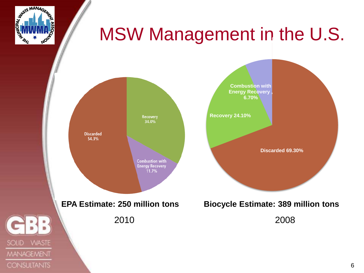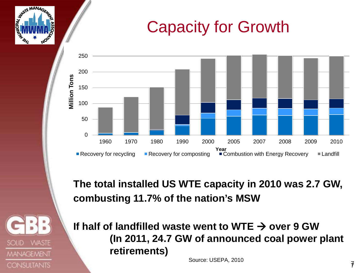## Capacity for Growth



**The total installed US WTE capacity in 2010 was 2.7 GW, combusting 11.7% of the nation's MSW**

If half of landfilled waste went to WTE  $\rightarrow$  over 9 GW **(In 2011, 24.7 GW of announced coal power plant retirements)** 

**WASTE** 

**MANAGEMENT** 

**CONSULTANTS** 

SOLID

Source: USEPA, 2010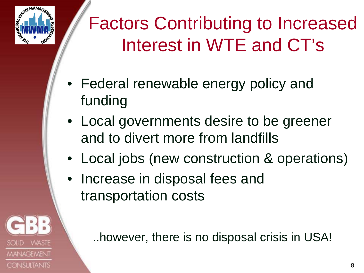

MANAGEMENI

**CONSULTANTS** 

## Factors Contributing to Increased Interest in WTE and CT's

- Federal renewable energy policy and funding
- Local governments desire to be greener and to divert more from landfills
- Local jobs (new construction & operations)
- Increase in disposal fees and transportation costs

..however, there is no disposal crisis in USA!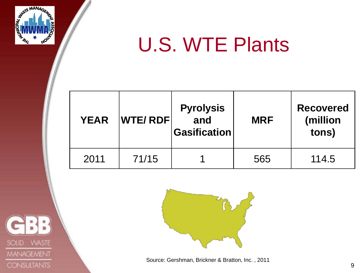

## U.S. WTE Plants

| <b>YEAR</b> | <b>WTE/RDF</b> | <b>Pyrolysis</b><br>and<br><b>Gasification</b> | <b>MRF</b> | <b>Recovered</b><br>(million<br>tons) |
|-------------|----------------|------------------------------------------------|------------|---------------------------------------|
| 2011        | 71/15          |                                                | 565        | 114.5                                 |





Source: Gershman, Brickner & Bratton, Inc. , 2011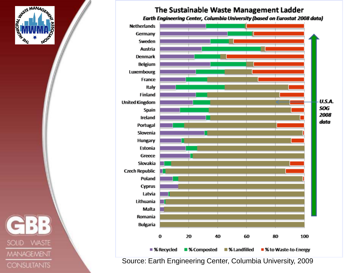

### The Sustainable Waste Management Ladder

Earth Engineering Center, Columbia University (based on Eurostat 2008 data)



**WASTE SOLID MANAGEMENT CONSULTANTS** 

Source: Earth Engineering Center, Columbia University, 2009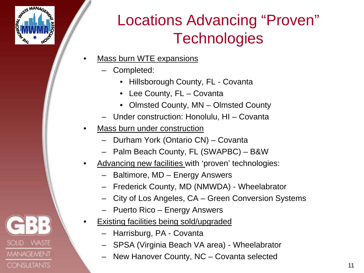

**MANAGEMENT** 

**CONSULTANTS** 

**SOLID** 

## Locations Advancing "Proven" **Technologies**

- **Mass burn WTE expansions** 
	- Completed:
		- Hillsborough County, FL Covanta
		- Lee County, FL Covanta
		- Olmsted County, MN Olmsted County
	- Under construction: Honolulu, HI Covanta
- Mass burn under construction
	- Durham York (Ontario CN) Covanta
	- Palm Beach County, FL (SWAPBC) B&W
- Advancing new facilities with 'proven' technologies:
	- Baltimore, MD Energy Answers
	- Frederick County, MD (NMWDA) Wheelabrator
	- City of Los Angeles, CA Green Conversion Systems
	- Puerto Rico Energy Answers
- **Existing facilities being sold/upgraded** 
	- Harrisburg, PA Covanta
	- SPSA (Virginia Beach VA area) Wheelabrator
	- New Hanover County, NC Covanta selected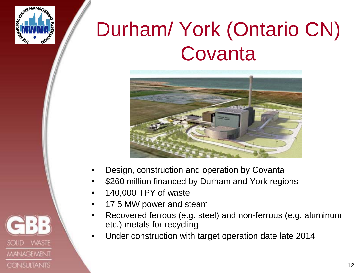

**MANAGEMENT** 

**CONSULTANTS** 

**SOLID** 

## Durham/ York (Ontario CN) **Covanta**



- Design, construction and operation by Covanta
- \$260 million financed by Durham and York regions
- 140,000 TPY of waste
- 17.5 MW power and steam
- Recovered ferrous (e.g. steel) and non-ferrous (e.g. aluminum etc.) metals for recycling
- Under construction with target operation date late 2014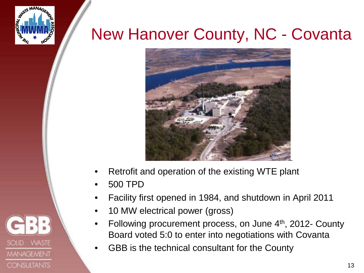

**MANAGEMENT** 

**CONSULTANTS** 

## New Hanover County, NC - Covanta



- Retrofit and operation of the existing WTE plant
- 500 TPD
- Facility first opened in 1984, and shutdown in April 2011
- 10 MW electrical power (gross)
- Following procurement process, on June 4<sup>th</sup>, 2012- County Board voted 5:0 to enter into negotiations with Covanta
- GBB is the technical consultant for the County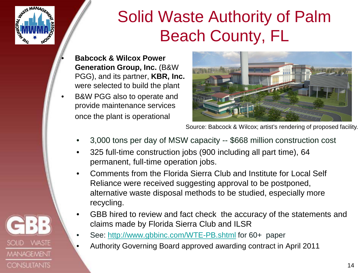

**VVASTE** 

**MANAGEMENT** 

**CONSULTANTS** 

SOLID

## Solid Waste Authority of Palm Beach County, FL

- **Babcock & Wilcox Power Generation Group, Inc.** (B&W PGG), and its partner, **KBR, Inc.**  were selected to build the plant
- B&W PGG also to operate and provide maintenance services once the plant is operational



Source: Babcock & Wilcox; artist's rendering of proposed facility.

- 3,000 tons per day of MSW capacity -- \$668 million construction cost
- 325 full-time construction jobs (900 including all part time), 64 permanent, full-time operation jobs.
- Comments from the Florida Sierra Club and Institute for Local Self Reliance were received suggesting approval to be postponed, alternative waste disposal methods to be studied, especially more recycling.
- GBB hired to review and fact check the accuracy of the statements and claims made by Florida Sierra Club and ILSR
	- See:<http://www.gbbinc.com/WTE-PB.shtml> for 60+ paper
	- Authority Governing Board approved awarding contract in April 2011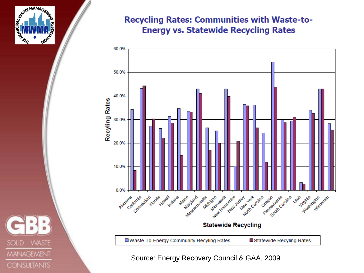

### **Recycling Rates: Communities with Waste-to-Energy vs. Statewide Recycling Rates**



Source: Energy Recovery Council & GAA, 2009

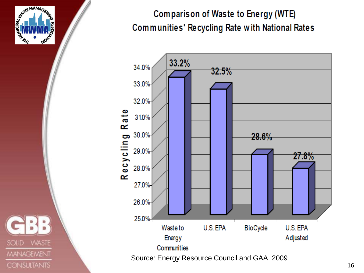

### Comparison of Waste to Energy (WTE) Communities' Recycling Rate with National Rates

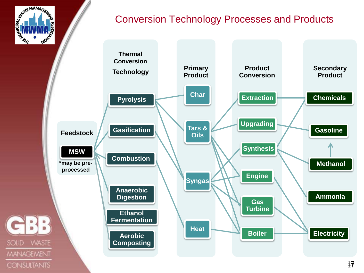

**SOLID** 

**CONSULTANTS** 

### Conversion Technology Processes and Products

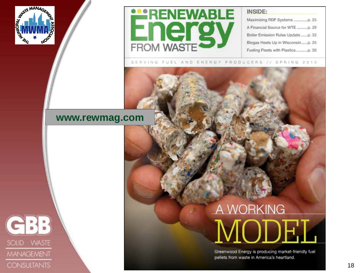

SOLID WASTE

**MANAGEMENT** 

**CONSULTANTS** 



#### INSIDE:

Maximizing RDF Systems ................p. 25 A Financial Source for WTE ...........p. 29 Boiler Emission Rules Update ......p. 32 Biogas Heats Up in Wisconsin......p. 35 Fueling Fleets with Plastics.............p. 38

SERVING FUEL AND ENERGY PRODUCERS // SPRING 2012

### **www.rewmag.com**

# A WORKING

Greenwood Energy is producing market-friendly fuel pellets from waste in America's heartland.

18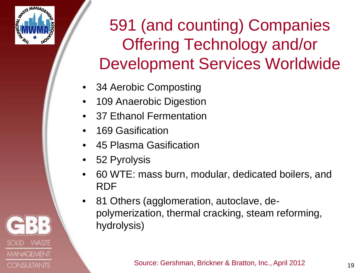

**MANAGEMENT** 

**CONSULTANTS** 

SOLID

## 591 (and counting) Companies Offering Technology and/or Development Services Worldwide

- 34 Aerobic Composting
- 109 Anaerobic Digestion
- 37 Ethanol Fermentation
- 169 Gasification
- 45 Plasma Gasification
- 52 Pyrolysis
- 60 WTE: mass burn, modular, dedicated boilers, and RDF
- 81 Others (agglomeration, autoclave, depolymerization, thermal cracking, steam reforming, hydrolysis)

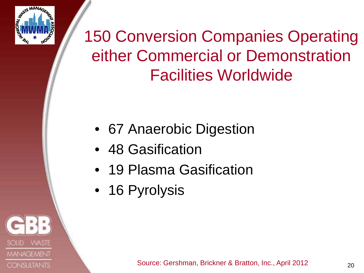

**MANAGEMENT** 

**CONSULTANTS** 

## 150 Conversion Companies Operating either Commercial or Demonstration Facilities Worldwide

- 67 Anaerobic Digestion
- 48 Gasification
- 19 Plasma Gasification
- 16 Pyrolysis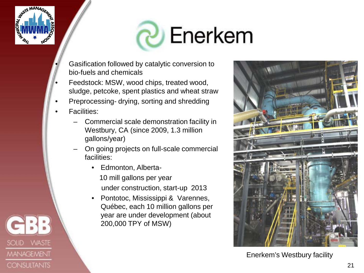

# **P** Enerkem

- Gasification followed by catalytic conversion to bio-fuels and chemicals
- Feedstock: MSW, wood chips, treated wood, sludge, petcoke, spent plastics and wheat straw
- Preprocessing- drying, sorting and shredding
- **Facilities:** 
	- Commercial scale demonstration facility in Westbury, CA (since 2009, 1.3 million gallons/year)
	- On going projects on full-scale commercial facilities:
		- Edmonton, Alberta-
			- 10 mill gallons per year under construction, start-up 2013
		- Pontotoc, Mississippi & Varennes, Québec, each 10 million gallons per year are under development (about 200,000 TPY of MSW)



Enerkem's Westbury facility

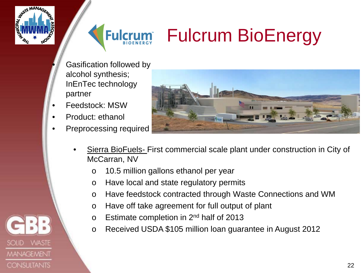



## Fulcrum BioEnergy

- Gasification followed by alcohol synthesis; InEnTec technology partner
- Feedstock: MSW
- Product: ethanol
- Preprocessing required



- Sierra BioFuels- First commercial scale plant under construction in City of McCarran, NV
	- o 10.5 million gallons ethanol per year
	- o Have local and state regulatory permits
	- o Have feedstock contracted through Waste Connections and WM
	- o Have off take agreement for full output of plant
	- o Estimate completion in 2nd half of 2013
	- o Received USDA \$105 million loan guarantee in August 2012

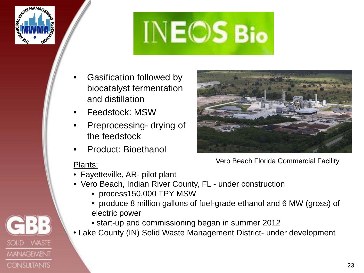

**SOLID** 

**VVASTE** 

**MANAGEMENT** 

**CONSULTANTS** 



- Gasification followed by biocatalyst fermentation and distillation
- Feedstock: MSW
- Preprocessing- drying of the feedstock
- Product: Bioethanol

### Plants:

- Fayetteville, AR- pilot plant
- Vero Beach, Indian River County, FL under construction
	- process150,000 TPY MSW
	- produce 8 million gallons of fuel-grade ethanol and 6 MW (gross) of electric power
	- start-up and commissioning began in summer 2012
- Lake County (IN) Solid Waste Management District- under development



Vero Beach Florida Commercial Facility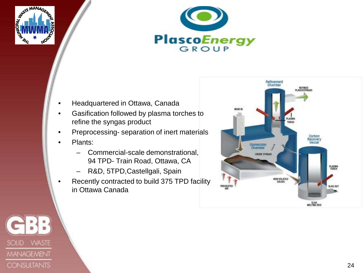



- Headquartered in Ottawa, Canada
- Gasification followed by plasma torches to refine the syngas product
- Preprocessing- separation of inert materials
- Plants:
	- Commercial-scale demonstrational, 94 TPD- Train Road, Ottawa, CA
	- R&D, 5TPD,Castellgali, Spain
- Recently contracted to build 375 TPD facility in Ottawa Canada



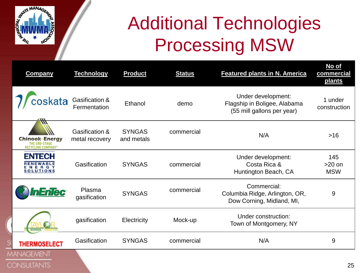

## Additional Technologies Processing MSW

| <b>Company</b>                                                                  | <b>Technology</b>                | <b>Product</b>              | <b>Status</b> | <b>Featured plants in N. America</b>                                             | <u>No of</u><br>commercial<br>plants |
|---------------------------------------------------------------------------------|----------------------------------|-----------------------------|---------------|----------------------------------------------------------------------------------|--------------------------------------|
| skata                                                                           | Gasification &<br>Fermentation   | Ethanol                     | demo          | Under development:<br>Flagship in Boligee, Alabama<br>(55 mill gallons per year) | 1 under<br>construction              |
| ₩<br><b>Chinook Energy</b><br><b>THE END-STAGE</b><br><b>RECYCLING COMPANY®</b> | Gasification &<br>metal recovery | <b>SYNGAS</b><br>and metals | commercial    | N/A                                                                              | $>16$                                |
| <b>ENTECH</b><br><b>RENEWABLE</b><br>ENERGY<br><b>SOLUTIONS</b>                 | Gasification                     | <b>SYNGAS</b>               | commercial    | Under development:<br>Costa Rica &<br>Huntington Beach, CA                       | 145<br>$>20$ on<br><b>MSW</b>        |
| Enlec                                                                           | Plasma<br>gasification           | <b>SYNGAS</b>               | commercial    | Commercial:<br>Columbia Ridge, Arlington, OR,<br>Dow Corning, Midland, MI,       | 9                                    |
|                                                                                 | gasification                     | Electricity                 | Mock-up       | Under construction:<br>Town of Montgomery, NY                                    |                                      |
| <b>THERMOSELECT</b>                                                             | Gasification                     | <b>SYNGAS</b>               | commercial    | N/A                                                                              | 9                                    |
| <b>IANAGEMENT</b>                                                               |                                  |                             |               |                                                                                  |                                      |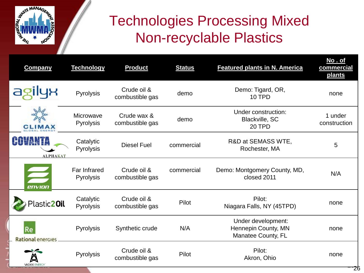

## Technologies Processing Mixed Non-recyclable Plastics

| <b>Company</b>                 | <b>Technology</b>         | <b>Product</b>                 | <b>Status</b> | <b>Featured plants in N. America</b>                            | No.of<br>commercial<br><u>plants</u> |
|--------------------------------|---------------------------|--------------------------------|---------------|-----------------------------------------------------------------|--------------------------------------|
|                                | Pyrolysis                 | Crude oil &<br>combustible gas | demo          | Demo: Tigard, OR,<br>10 TPD                                     | none                                 |
| <b>CLIMAX</b>                  | Microwave<br>Pyrolysis    | Crude wax &<br>combustible gas | demo          | Under construction:<br>Blackville, SC<br>20 TPD                 | 1 under<br>construction              |
| <b>ALPHAKAT</b>                | Catalytic<br>Pyrolysis    | <b>Diesel Fuel</b>             | commercial    | R&D at SEMASS WTE,<br>Rochester, MA                             | 5                                    |
| envion                         | Far Infrared<br>Pyrolysis | Crude oil &<br>combustible gas | commercial    | Demo: Montgomery County, MD,<br>closed 2011                     | N/A                                  |
| Plastic20il                    | Catalytic<br>Pyrolysis    | Crude oil &<br>combustible gas | Pilot         | Pilot:<br>Niagara Falls, NY (45TPD)                             | none                                 |
| Re<br><b>Rational energies</b> | Pyrolysis                 | Synthetic crude                | N/A           | Under development:<br>Hennepin County, MN<br>Manatee County, FL | none                                 |
| <b>VADXX ENFRO</b>             | <b>Pyrolysis</b>          | Crude oil &<br>combustible gas | Pilot         | Pilot:<br>Akron, Ohio                                           | none                                 |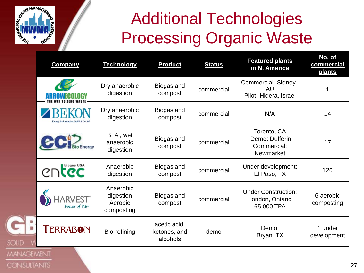

**CONSULTANTS** 

## Additional Technologies Processing Organic Waste

|                  | <b>Company</b>                               | <b>Technology</b>                               | <b>Product</b>                           | <b>Status</b> | <b>Featured plants</b><br>in N. America                     | No. of<br>commercial<br>plants |
|------------------|----------------------------------------------|-------------------------------------------------|------------------------------------------|---------------|-------------------------------------------------------------|--------------------------------|
|                  |                                              | Dry anaerobic<br>digestion                      | Biogas and<br>compost                    | commercial    | Commercial-Sidney,<br>AU<br>Pilot-Hidera, Israel            |                                |
|                  | <b>Energy Technologies GmbH &amp; Co. KG</b> | Dry anaerobic<br>digestion                      | Biogas and<br>compost                    | commercial    | N/A                                                         | 14                             |
|                  |                                              | BTA, wet<br>anaerobic<br>digestion              | Biogas and<br>compost                    | commercial    | Toronto, CA<br>Demo: Dufferin<br>Commercial:<br>Newmarket   | 17                             |
|                  | CDCC                                         | Anaerobic<br>digestion                          | Biogas and<br>compost                    | commercial    | Under development:<br>El Paso, TX                           | 120                            |
|                  | Power of We <sup>™</sup>                     | Anaerobic<br>digestion<br>Aerobic<br>composting | Biogas and<br>compost                    | commercial    | <b>Under Construction:</b><br>London, Ontario<br>65,000 TPA | 6 aerobic<br>composting        |
| SOLID            | <b>TERRABON</b>                              | Bio-refining                                    | acetic acid,<br>ketones, and<br>alcohols | demo          | Demo:<br>Bryan, TX                                          | 1 under<br>development         |
| <b>1ANAGEMEN</b> |                                              |                                                 |                                          |               |                                                             |                                |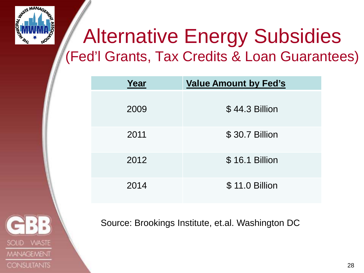

## Alternative Energy Subsidies (Fed'l Grants, Tax Credits & Loan Guarantees)

| Year | <b>Value Amount by Fed's</b> |  |  |
|------|------------------------------|--|--|
| 2009 | \$44.3 Billion               |  |  |
| 2011 | \$30.7 Billion               |  |  |
| 2012 | \$16.1 Billion               |  |  |
| 2014 | \$11.0 Billion               |  |  |



Source: Brookings Institute, et.al. Washington DC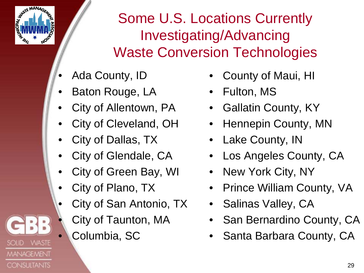

**MANAGEMENT** 

**CONSULTANTS** 

SOLID

Some U.S. Locations Currently Investigating/Advancing Waste Conversion Technologies

- Ada County, ID
- Baton Rouge, LA
- City of Allentown, PA
- City of Cleveland, OH
- City of Dallas, TX
- City of Glendale, CA
- City of Green Bay, WI
- City of Plano, TX
- City of San Antonio, TX
	- City of Taunton, MA
	- Columbia, SC
- County of Maui, HI
- Fulton, MS
- Gallatin County, KY
- Hennepin County, MN
- Lake County, IN
- Los Angeles County, CA
- New York City, NY
- Prince William County, VA
- Salinas Valley, CA
- San Bernardino County, CA
- Santa Barbara County, CA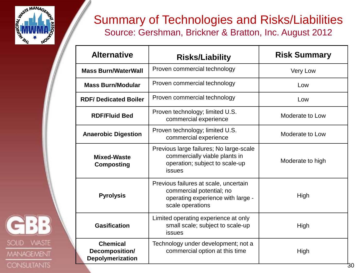

SOLID WASTE

**MANAGEMENT** 

**CONSULTANTS** 

### Summary of Technologies and Risks/Liabilities Source: Gershman, Brickner & Bratton, Inc. August 2012

| <b>Alternative</b>                                    | <b>Risks/Liability</b>                                                                                                     | <b>Risk Summary</b> |  |  |
|-------------------------------------------------------|----------------------------------------------------------------------------------------------------------------------------|---------------------|--|--|
| <b>Mass Burn/WaterWall</b>                            | Proven commercial technology<br><b>Very Low</b>                                                                            |                     |  |  |
| <b>Mass Burn/Modular</b>                              | Proven commercial technology                                                                                               | Low                 |  |  |
| <b>RDF/Dedicated Boiler</b>                           | Proven commercial technology                                                                                               | Low                 |  |  |
| <b>RDF/Fluid Bed</b>                                  | Proven technology; limited U.S.<br>Moderate to Low<br>commercial experience                                                |                     |  |  |
| <b>Anaerobic Digestion</b>                            | Proven technology; limited U.S.<br>Moderate to Low<br>commercial experience                                                |                     |  |  |
| <b>Mixed-Waste</b><br><b>Composting</b>               | Previous large failures; No large-scale<br>commercially viable plants in<br>operation; subject to scale-up<br>issues       | Moderate to high    |  |  |
| <b>Pyrolysis</b>                                      | Previous failures at scale, uncertain<br>commercial potential; no<br>operating experience with large -<br>scale operations | High                |  |  |
| <b>Gasification</b>                                   | Limited operating experience at only<br>small scale; subject to scale-up<br>High<br><b>issues</b>                          |                     |  |  |
| <b>Chemical</b><br>Decomposition/<br>Depolymerization | Technology under development; not a<br>commercial option at this time                                                      | High                |  |  |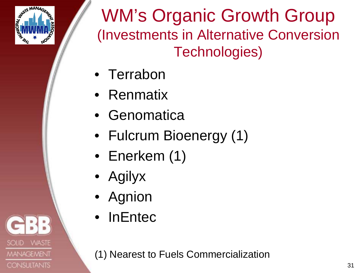

**MANAGEMENT** 

**CONSULTANTS** 

WM's Organic Growth Group (Investments in Alternative Conversion Technologies)

- Terrabon
- Renmatix
- Genomatica
- Fulcrum Bioenergy (1)
- Enerkem (1)
- Agilyx
- Agnion
- InEntec

(1) Nearest to Fuels Commercialization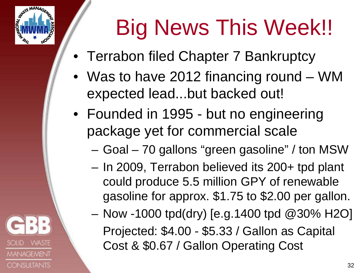

**MANAGEMENT** 

**CONSULTANTS** 

# Big News This Week!!

- Terrabon filed Chapter 7 Bankruptcy
- Was to have 2012 financing round WM expected lead...but backed out!
- Founded in 1995 but no engineering package yet for commercial scale
	- Goal 70 gallons "green gasoline" / ton MSW
	- In 2009, Terrabon believed its 200+ tpd plant could produce 5.5 million GPY of renewable gasoline for approx. \$1.75 to \$2.00 per gallon.
	- Now -1000 tpd(dry) [e.g.1400 tpd @30% H2O] Projected: \$4.00 - \$5.33 / Gallon as Capital Cost & \$0.67 / Gallon Operating Cost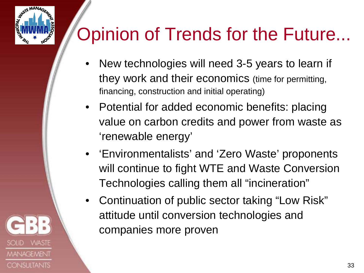

**MANAGEMENT** 

**CONSULTANTS** 

## Opinion of Trends for the Future...

- New technologies will need 3-5 years to learn if they work and their economics (time for permitting, financing, construction and initial operating)
- Potential for added economic benefits: placing value on carbon credits and power from waste as 'renewable energy'
- 'Environmentalists' and 'Zero Waste' proponents will continue to fight WTE and Waste Conversion Technologies calling them all "incineration"
- Continuation of public sector taking "Low Risk" attitude until conversion technologies and companies more proven

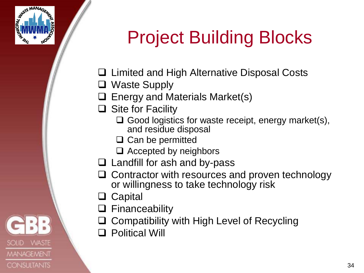

**MANAGEMENT** 

**CONSULTANTS** 

**SOLID** 

## Project Building Blocks

- **□** Limited and High Alternative Disposal Costs
- □ Waste Supply
- Energy and Materials Market(s)
- $\Box$  Site for Facility
	- $\Box$  Good logistics for waste receipt, energy market(s), and residue disposal
	- $\Box$  Can be permitted
	- $\Box$  Accepted by neighbors
- $\Box$  Landfill for ash and by-pass
- $\Box$  Contractor with resources and proven technology or willingness to take technology risk
- □ Capital
- □ Financeability
- Compatibility with High Level of Recycling
- Political Will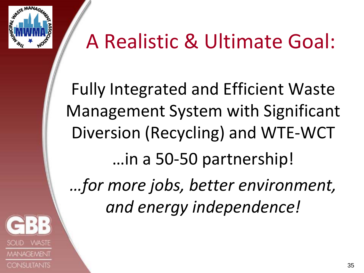

## A Realistic & Ultimate Goal:

Fully Integrated and Efficient Waste Management System with Significant Diversion (Recycling) and WTE-WCT …in a 50-50 partnership! *…for more jobs, better environment,* 

*and energy independence!*